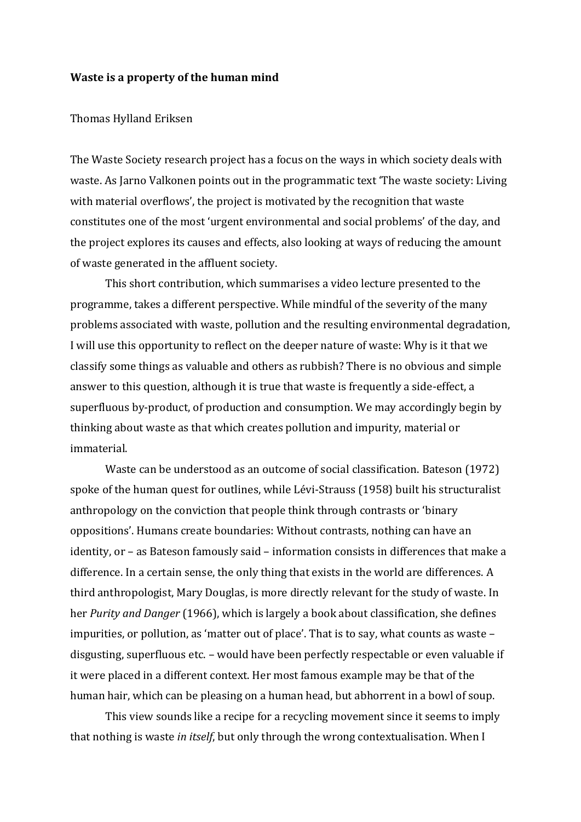## **Waste is a property of the human mind**

## Thomas Hylland Eriksen

The Waste Society research project has a focus on the ways in which society deals with waste. As Jarno Valkonen points out in the programmatic text 'The waste society: Living with material overflows', the project is motivated by the recognition that waste constitutes one of the most 'urgent environmental and social problems' of the day, and the project explores its causes and effects, also looking at ways of reducing the amount of waste generated in the affluent society.

This short contribution, which summarises a video lecture presented to the programme, takes a different perspective. While mindful of the severity of the many problems associated with waste, pollution and the resulting environmental degradation, I will use this opportunity to reflect on the deeper nature of waste: Why is it that we classify some things as valuable and others as rubbish? There is no obvious and simple answer to this question, although it is true that waste is frequently a side-effect, a superfluous by-product, of production and consumption. We may accordingly begin by thinking about waste as that which creates pollution and impurity, material or immaterial.

Waste can be understood as an outcome of social classification. Bateson (1972) spoke of the human quest for outlines, while Lévi-Strauss (1958) built his structuralist anthropology on the conviction that people think through contrasts or 'binary oppositions'. Humans create boundaries: Without contrasts, nothing can have an identity, or – as Bateson famously said – information consists in differences that make a difference. In a certain sense, the only thing that exists in the world are differences. A third anthropologist, Mary Douglas, is more directly relevant for the study of waste. In her *Purity and Danger* (1966), which is largely a book about classification, she defines impurities, or pollution, as 'matter out of place'. That is to say, what counts as waste – disgusting, superfluous etc. – would have been perfectly respectable or even valuable if it were placed in a different context. Her most famous example may be that of the human hair, which can be pleasing on a human head, but abhorrent in a bowl of soup.

This view sounds like a recipe for a recycling movement since it seems to imply that nothing is waste *in itself*, but only through the wrong contextualisation. When I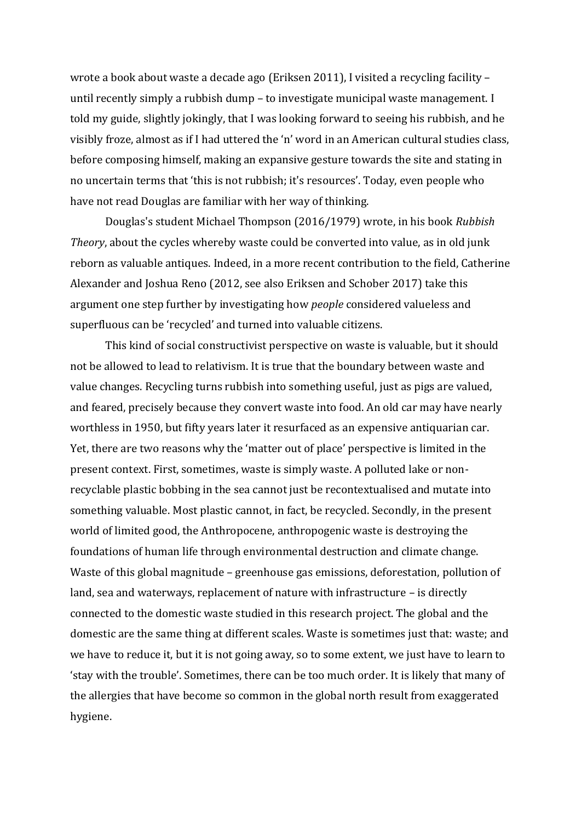wrote a book about waste a decade ago (Eriksen 2011), I visited a recycling facility – until recently simply a rubbish dump – to investigate municipal waste management. I told my guide, slightly jokingly, that I was looking forward to seeing his rubbish, and he visibly froze, almost as if I had uttered the 'n' word in an American cultural studies class, before composing himself, making an expansive gesture towards the site and stating in no uncertain terms that 'this is not rubbish; it's resources'. Today, even people who have not read Douglas are familiar with her way of thinking.

Douglas's student Michael Thompson (2016/1979) wrote, in his book *Rubbish Theory*, about the cycles whereby waste could be converted into value, as in old junk reborn as valuable antiques. Indeed, in a more recent contribution to the field, Catherine Alexander and Joshua Reno (2012, see also Eriksen and Schober 2017) take this argument one step further by investigating how *people* considered valueless and superfluous can be 'recycled' and turned into valuable citizens.

This kind of social constructivist perspective on waste is valuable, but it should not be allowed to lead to relativism. It is true that the boundary between waste and value changes. Recycling turns rubbish into something useful, just as pigs are valued, and feared, precisely because they convert waste into food. An old car may have nearly worthless in 1950, but fifty years later it resurfaced as an expensive antiquarian car. Yet, there are two reasons why the 'matter out of place' perspective is limited in the present context. First, sometimes, waste is simply waste. A polluted lake or nonrecyclable plastic bobbing in the sea cannot just be recontextualised and mutate into something valuable. Most plastic cannot, in fact, be recycled. Secondly, in the present world of limited good, the Anthropocene, anthropogenic waste is destroying the foundations of human life through environmental destruction and climate change. Waste of this global magnitude – greenhouse gas emissions, deforestation, pollution of land, sea and waterways, replacement of nature with infrastructure – is directly connected to the domestic waste studied in this research project. The global and the domestic are the same thing at different scales. Waste is sometimes just that: waste; and we have to reduce it, but it is not going away, so to some extent, we just have to learn to 'stay with the trouble'. Sometimes, there can be too much order. It is likely that many of the allergies that have become so common in the global north result from exaggerated hygiene.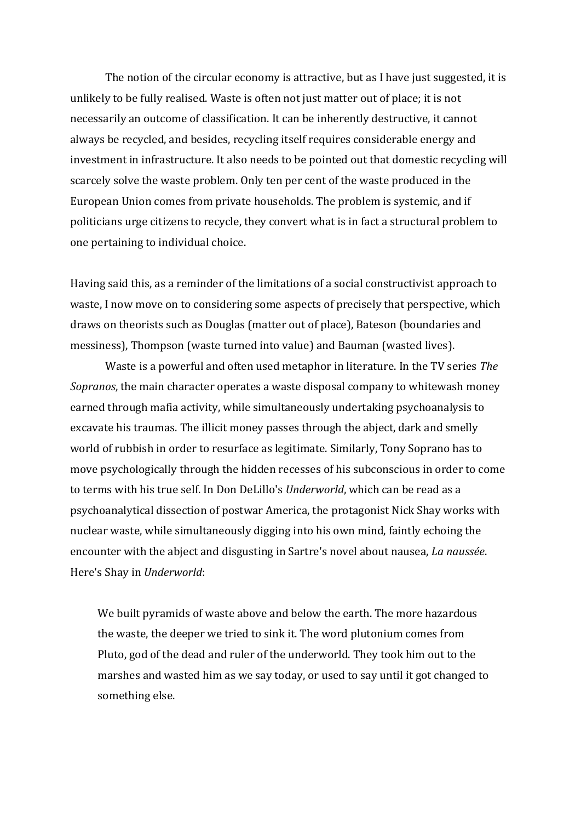The notion of the circular economy is attractive, but as I have just suggested, it is unlikely to be fully realised. Waste is often not just matter out of place; it is not necessarily an outcome of classification. It can be inherently destructive, it cannot always be recycled, and besides, recycling itself requires considerable energy and investment in infrastructure. It also needs to be pointed out that domestic recycling will scarcely solve the waste problem. Only ten per cent of the waste produced in the European Union comes from private households. The problem is systemic, and if politicians urge citizens to recycle, they convert what is in fact a structural problem to one pertaining to individual choice.

Having said this, as a reminder of the limitations of a social constructivist approach to waste, I now move on to considering some aspects of precisely that perspective, which draws on theorists such as Douglas (matter out of place), Bateson (boundaries and messiness), Thompson (waste turned into value) and Bauman (wasted lives).

Waste is a powerful and often used metaphor in literature. In the TV series *The Sopranos*, the main character operates a waste disposal company to whitewash money earned through mafia activity, while simultaneously undertaking psychoanalysis to excavate his traumas. The illicit money passes through the abject, dark and smelly world of rubbish in order to resurface as legitimate. Similarly, Tony Soprano has to move psychologically through the hidden recesses of his subconscious in order to come to terms with his true self. In Don DeLillo's *Underworld*, which can be read as a psychoanalytical dissection of postwar America, the protagonist Nick Shay works with nuclear waste, while simultaneously digging into his own mind, faintly echoing the encounter with the abject and disgusting in Sartre's novel about nausea, *La naussée*. Here's Shay in *Underworld*:

We built pyramids of waste above and below the earth. The more hazardous the waste, the deeper we tried to sink it. The word plutonium comes from Pluto, god of the dead and ruler of the underworld. They took him out to the marshes and wasted him as we say today, or used to say until it got changed to something else.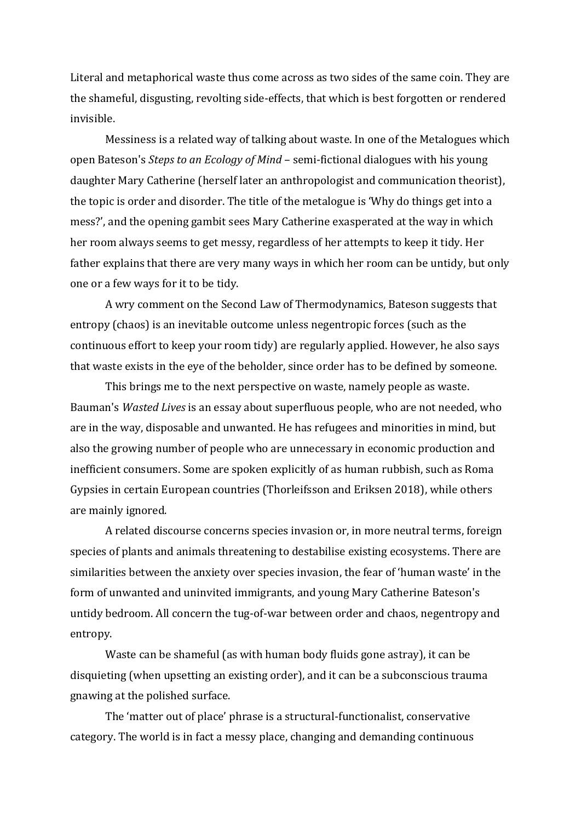Literal and metaphorical waste thus come across as two sides of the same coin. They are the shameful, disgusting, revolting side-effects, that which is best forgotten or rendered invisible.

Messiness is a related way of talking about waste. In one of the Metalogues which open Bateson's *Steps to an Ecology of Mind* – semi-fictional dialogues with his young daughter Mary Catherine (herself later an anthropologist and communication theorist), the topic is order and disorder. The title of the metalogue is 'Why do things get into a mess?', and the opening gambit sees Mary Catherine exasperated at the way in which her room always seems to get messy, regardless of her attempts to keep it tidy. Her father explains that there are very many ways in which her room can be untidy, but only one or a few ways for it to be tidy.

A wry comment on the Second Law of Thermodynamics, Bateson suggests that entropy (chaos) is an inevitable outcome unless negentropic forces (such as the continuous effort to keep your room tidy) are regularly applied. However, he also says that waste exists in the eye of the beholder, since order has to be defined by someone.

This brings me to the next perspective on waste, namely people as waste. Bauman's *Wasted Lives* is an essay about superfluous people, who are not needed, who are in the way, disposable and unwanted. He has refugees and minorities in mind, but also the growing number of people who are unnecessary in economic production and inefficient consumers. Some are spoken explicitly of as human rubbish, such as Roma Gypsies in certain European countries (Thorleifsson and Eriksen 2018), while others are mainly ignored.

A related discourse concerns species invasion or, in more neutral terms, foreign species of plants and animals threatening to destabilise existing ecosystems. There are similarities between the anxiety over species invasion, the fear of 'human waste' in the form of unwanted and uninvited immigrants, and young Mary Catherine Bateson's untidy bedroom. All concern the tug-of-war between order and chaos, negentropy and entropy.

Waste can be shameful (as with human body fluids gone astray), it can be disquieting (when upsetting an existing order), and it can be a subconscious trauma gnawing at the polished surface.

The 'matter out of place' phrase is a structural-functionalist, conservative category. The world is in fact a messy place, changing and demanding continuous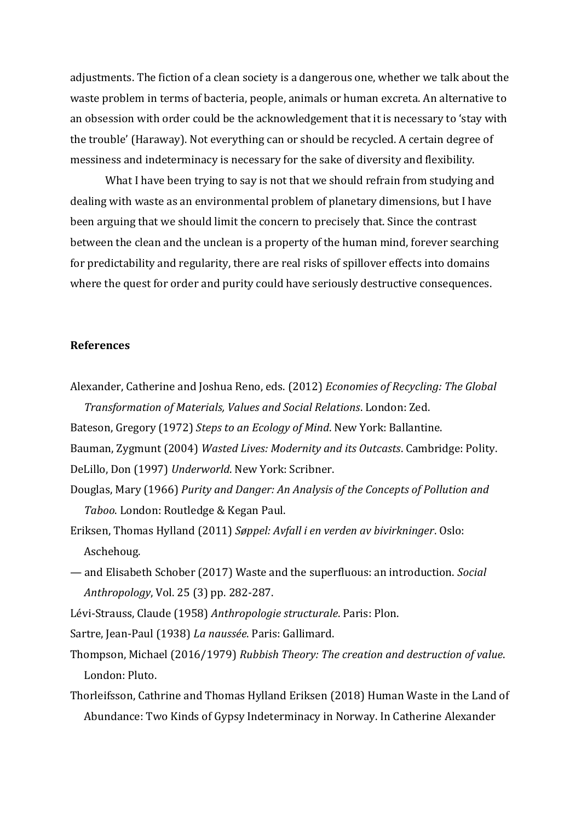adjustments. The fiction of a clean society is a dangerous one, whether we talk about the waste problem in terms of bacteria, people, animals or human excreta. An alternative to an obsession with order could be the acknowledgement that it is necessary to 'stay with the trouble' (Haraway). Not everything can or should be recycled. A certain degree of messiness and indeterminacy is necessary for the sake of diversity and flexibility.

What I have been trying to say is not that we should refrain from studying and dealing with waste as an environmental problem of planetary dimensions, but I have been arguing that we should limit the concern to precisely that. Since the contrast between the clean and the unclean is a property of the human mind, forever searching for predictability and regularity, there are real risks of spillover effects into domains where the quest for order and purity could have seriously destructive consequences.

## **References**

- Alexander, Catherine and Joshua Reno, eds. (2012) *Economies of Recycling: The Global Transformation of Materials, Values and Social Relations*. London: Zed.
- Bateson, Gregory (1972) *Steps to an Ecology of Mind*. New York: Ballantine.
- Bauman, Zygmunt (2004) *Wasted Lives: Modernity and its Outcasts*. Cambridge: Polity.

DeLillo, Don (1997) *Underworld*. New York: Scribner.

- Douglas, Mary (1966) *Purity and Danger: An Analysis of the Concepts of Pollution and Taboo*. London: Routledge & Kegan Paul.
- Eriksen, Thomas Hylland (2011) *Søppel: Avfall i en verden av bivirkninger*. Oslo: Aschehoug.
- and Elisabeth Schober (2017) Waste and the superfluous: an introduction. *Social Anthropology*, Vol. 25 (3) pp. 282-287.

Lévi-Strauss, Claude (1958) *Anthropologie structurale*. Paris: Plon.

Sartre, Jean-Paul (1938) *La naussée*. Paris: Gallimard.

- Thompson, Michael (2016/1979) *Rubbish Theory: The creation and destruction of value*. London: Pluto.
- Thorleifsson, Cathrine and Thomas Hylland Eriksen (2018) Human Waste in the Land of Abundance: Two Kinds of Gypsy Indeterminacy in Norway. In Catherine Alexander